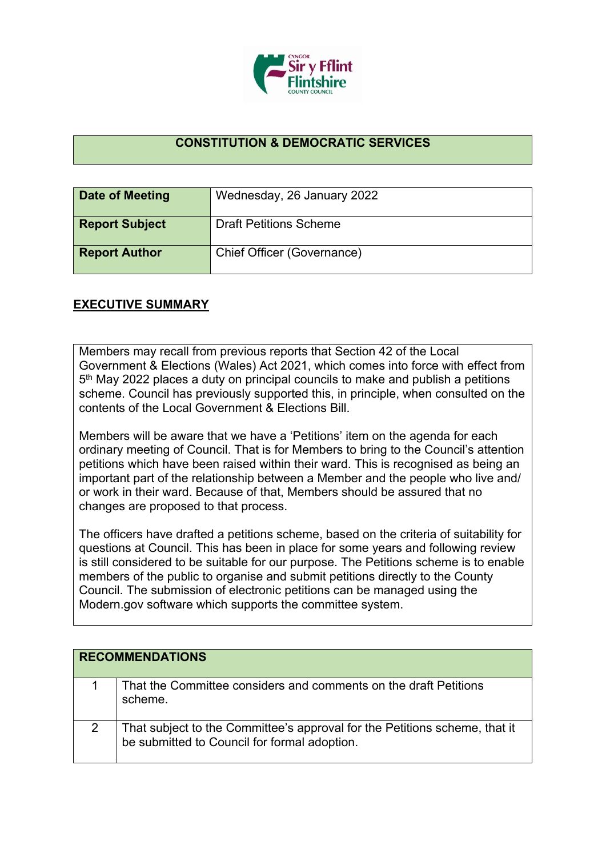

## **CONSTITUTION & DEMOCRATIC SERVICES**

| Date of Meeting       | Wednesday, 26 January 2022    |
|-----------------------|-------------------------------|
| <b>Report Subject</b> | <b>Draft Petitions Scheme</b> |
| <b>Report Author</b>  | Chief Officer (Governance)    |

## **EXECUTIVE SUMMARY**

Members may recall from previous reports that Section 42 of the Local Government & Elections (Wales) Act 2021, which comes into force with effect from 5<sup>th</sup> May 2022 places a duty on principal councils to make and publish a petitions scheme. Council has previously supported this, in principle, when consulted on the contents of the Local Government & Elections Bill.

Members will be aware that we have a 'Petitions' item on the agenda for each ordinary meeting of Council. That is for Members to bring to the Council's attention petitions which have been raised within their ward. This is recognised as being an important part of the relationship between a Member and the people who live and/ or work in their ward. Because of that, Members should be assured that no changes are proposed to that process.

The officers have drafted a petitions scheme, based on the criteria of suitability for questions at Council. This has been in place for some years and following review is still considered to be suitable for our purpose. The Petitions scheme is to enable members of the public to organise and submit petitions directly to the County Council. The submission of electronic petitions can be managed using the Modern.gov software which supports the committee system.

| <b>RECOMMENDATIONS</b>                                                                                                     |
|----------------------------------------------------------------------------------------------------------------------------|
| That the Committee considers and comments on the draft Petitions<br>scheme.                                                |
| That subject to the Committee's approval for the Petitions scheme, that it<br>be submitted to Council for formal adoption. |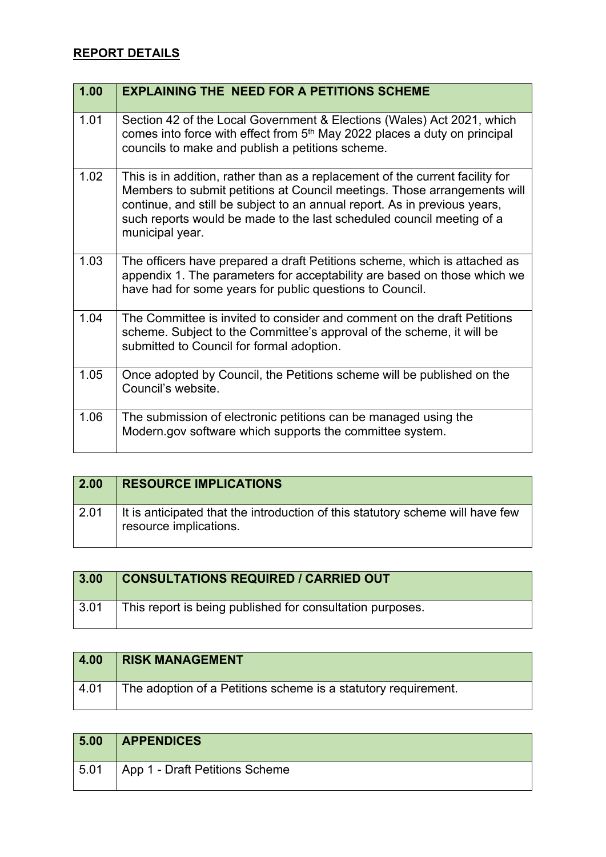## **REPORT DETAILS**

| 1.00 | <b>EXPLAINING THE NEED FOR A PETITIONS SCHEME</b>                                                                                                                                                                                                                                                                                  |
|------|------------------------------------------------------------------------------------------------------------------------------------------------------------------------------------------------------------------------------------------------------------------------------------------------------------------------------------|
| 1.01 | Section 42 of the Local Government & Elections (Wales) Act 2021, which<br>comes into force with effect from 5 <sup>th</sup> May 2022 places a duty on principal<br>councils to make and publish a petitions scheme.                                                                                                                |
| 1.02 | This is in addition, rather than as a replacement of the current facility for<br>Members to submit petitions at Council meetings. Those arrangements will<br>continue, and still be subject to an annual report. As in previous years,<br>such reports would be made to the last scheduled council meeting of a<br>municipal year. |
| 1.03 | The officers have prepared a draft Petitions scheme, which is attached as<br>appendix 1. The parameters for acceptability are based on those which we<br>have had for some years for public questions to Council.                                                                                                                  |
| 1.04 | The Committee is invited to consider and comment on the draft Petitions<br>scheme. Subject to the Committee's approval of the scheme, it will be<br>submitted to Council for formal adoption.                                                                                                                                      |
| 1.05 | Once adopted by Council, the Petitions scheme will be published on the<br>Council's website.                                                                                                                                                                                                                                       |
| 1.06 | The submission of electronic petitions can be managed using the<br>Modern.gov software which supports the committee system.                                                                                                                                                                                                        |

| 2.00 | <b>RESOURCE IMPLICATIONS</b>                                                                             |
|------|----------------------------------------------------------------------------------------------------------|
| 2.01 | It is anticipated that the introduction of this statutory scheme will have few<br>resource implications. |

| 3.00 | <b>CONSULTATIONS REQUIRED / CARRIED OUT</b>               |
|------|-----------------------------------------------------------|
| 3.01 | This report is being published for consultation purposes. |

| 4.00 | <b>RISK MANAGEMENT</b>                                         |
|------|----------------------------------------------------------------|
| 4.01 | The adoption of a Petitions scheme is a statutory requirement. |

| 5.00 | <b>APPENDICES</b>              |
|------|--------------------------------|
| 5.01 | App 1 - Draft Petitions Scheme |